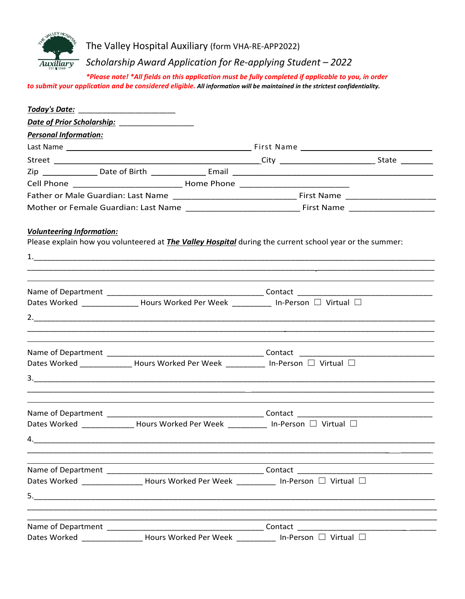

The Valley Hospital Auxiliary (form VHA-RE-APP2022)

*Scholarship Award Application for Re-applying Student – 2022*

*\*Please note! \*All fields on this application must be fully completed if applicable to you, in order to submit your application and be considered eligible. All information will be maintained in the strictest confidentiality.*

| <u> Today's Date: ________________________</u> |                                                                                     |                                                                                                                |  |
|------------------------------------------------|-------------------------------------------------------------------------------------|----------------------------------------------------------------------------------------------------------------|--|
|                                                |                                                                                     |                                                                                                                |  |
| <b>Personal Information:</b>                   |                                                                                     |                                                                                                                |  |
|                                                |                                                                                     |                                                                                                                |  |
|                                                |                                                                                     |                                                                                                                |  |
|                                                |                                                                                     |                                                                                                                |  |
|                                                |                                                                                     |                                                                                                                |  |
|                                                |                                                                                     |                                                                                                                |  |
|                                                |                                                                                     |                                                                                                                |  |
| <b>Volunteering Information:</b>               |                                                                                     | Please explain how you volunteered at <i>The Valley Hospital</i> during the current school year or the summer: |  |
|                                                |                                                                                     |                                                                                                                |  |
|                                                | Dates Worked _______________ Hours Worked Per Week __________ In-Person □ Virtual □ |                                                                                                                |  |
|                                                |                                                                                     |                                                                                                                |  |
|                                                |                                                                                     |                                                                                                                |  |
|                                                |                                                                                     |                                                                                                                |  |
|                                                | Dates Worked ______________ Hours Worked Per Week __________ In-Person □ Virtual □  |                                                                                                                |  |
|                                                |                                                                                     |                                                                                                                |  |
|                                                |                                                                                     |                                                                                                                |  |
|                                                |                                                                                     |                                                                                                                |  |
|                                                | Dates Worked _____________ Hours Worked Per Week __________ In-Person □ Virtual □   |                                                                                                                |  |
| 4.                                             |                                                                                     |                                                                                                                |  |
|                                                |                                                                                     |                                                                                                                |  |
|                                                |                                                                                     |                                                                                                                |  |
|                                                |                                                                                     | Dates Worked _________________ Hours Worked Per Week __________ In-Person □ Virtual □                          |  |
|                                                |                                                                                     |                                                                                                                |  |
|                                                |                                                                                     |                                                                                                                |  |
|                                                |                                                                                     |                                                                                                                |  |
|                                                |                                                                                     | Dates Worked ________________ Hours Worked Per Week __________ In-Person □ Virtual □                           |  |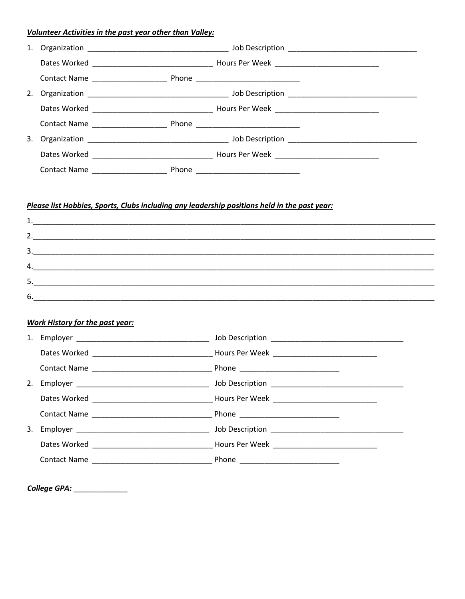## **Volunteer Activities in the past year other than Valley:**

| 1. |                    |  |  |  |
|----|--------------------|--|--|--|
|    |                    |  |  |  |
|    |                    |  |  |  |
| 2. |                    |  |  |  |
|    |                    |  |  |  |
|    |                    |  |  |  |
| 3. |                    |  |  |  |
|    |                    |  |  |  |
|    | Contact Name Phone |  |  |  |

# Please list Hobbies, Sports, Clubs including any leadership positions held in the past year:

| 2.  |  |
|-----|--|
| 3.  |  |
| 4.  |  |
| 5.  |  |
| -6. |  |

### **Work History for the past year:**

| 1. |  |
|----|--|
|    |  |
|    |  |
| 2. |  |
|    |  |
|    |  |
|    |  |
|    |  |
|    |  |

| <b>College GPA:</b> |  |
|---------------------|--|
|---------------------|--|